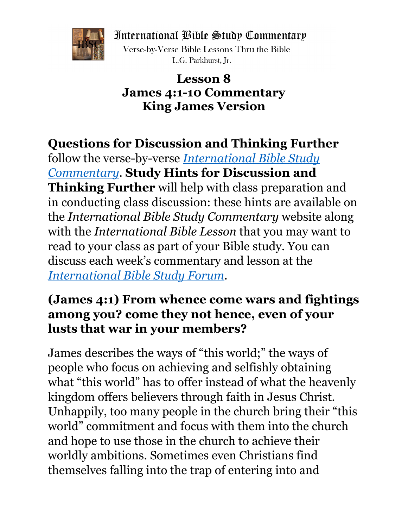International Bible Study Commentary



Verse-by-Verse Bible Lessons Thru the Bible L.G. Parkhurst. Ir.

#### **Lesson 8 James 4:1-10 Commentary King James Version**

# **Questions for Discussion and Thinking Further**

follow the verse-by-verse *[International Bible Study](https://www.ouosu.com/IBLC/) [Commentary](https://www.ouosu.com/IBLC/)*. **Study Hints for Discussion and Thinking Further** will help with class preparation and in conducting class discussion: these hints are available on the *International Bible Study Commentary* website along with the *International Bible Lesson* that you may want to read to your class as part of your Bible study. You can discuss each week's commentary and lesson at the *[International Bible Study](http://www.ouosu.com/IBSForum/) Forum*.

## **(James 4:1) From whence come wars and fightings among you? come they not hence, even of your lusts that war in your members?**

James describes the ways of "this world;" the ways of people who focus on achieving and selfishly obtaining what "this world" has to offer instead of what the heavenly kingdom offers believers through faith in Jesus Christ. Unhappily, too many people in the church bring their "this world" commitment and focus with them into the church and hope to use those in the church to achieve their worldly ambitions. Sometimes even Christians find themselves falling into the trap of entering into and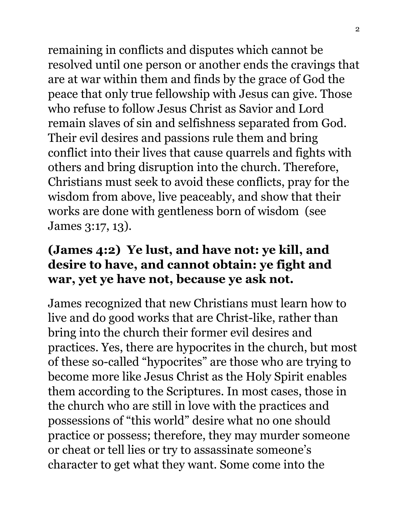remaining in conflicts and disputes which cannot be resolved until one person or another ends the cravings that are at war within them and finds by the grace of God the peace that only true fellowship with Jesus can give. Those who refuse to follow Jesus Christ as Savior and Lord remain slaves of sin and selfishness separated from God. Their evil desires and passions rule them and bring conflict into their lives that cause quarrels and fights with others and bring disruption into the church. Therefore, Christians must seek to avoid these conflicts, pray for the wisdom from above, live peaceably, and show that their works are done with gentleness born of wisdom (see James 3:17, 13).

## **(James 4:2) Ye lust, and have not: ye kill, and desire to have, and cannot obtain: ye fight and war, yet ye have not, because ye ask not.**

James recognized that new Christians must learn how to live and do good works that are Christ-like, rather than bring into the church their former evil desires and practices. Yes, there are hypocrites in the church, but most of these so-called "hypocrites" are those who are trying to become more like Jesus Christ as the Holy Spirit enables them according to the Scriptures. In most cases, those in the church who are still in love with the practices and possessions of "this world" desire what no one should practice or possess; therefore, they may murder someone or cheat or tell lies or try to assassinate someone's character to get what they want. Some come into the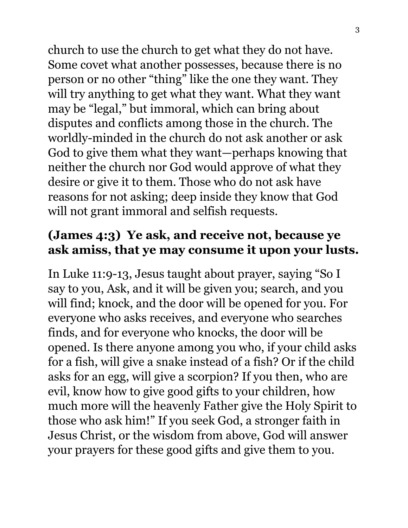church to use the church to get what they do not have. Some covet what another possesses, because there is no person or no other "thing" like the one they want. They will try anything to get what they want. What they want may be "legal," but immoral, which can bring about disputes and conflicts among those in the church. The worldly-minded in the church do not ask another or ask God to give them what they want—perhaps knowing that neither the church nor God would approve of what they desire or give it to them. Those who do not ask have reasons for not asking; deep inside they know that God will not grant immoral and selfish requests.

### **(James 4:3) Ye ask, and receive not, because ye ask amiss, that ye may consume it upon your lusts.**

In Luke 11:9-13, Jesus taught about prayer, saying "So I say to you, Ask, and it will be given you; search, and you will find; knock, and the door will be opened for you. For everyone who asks receives, and everyone who searches finds, and for everyone who knocks, the door will be opened. Is there anyone among you who, if your child asks for a fish, will give a snake instead of a fish? Or if the child asks for an egg, will give a scorpion? If you then, who are evil, know how to give good gifts to your children, how much more will the heavenly Father give the Holy Spirit to those who ask him!" If you seek God, a stronger faith in Jesus Christ, or the wisdom from above, God will answer your prayers for these good gifts and give them to you.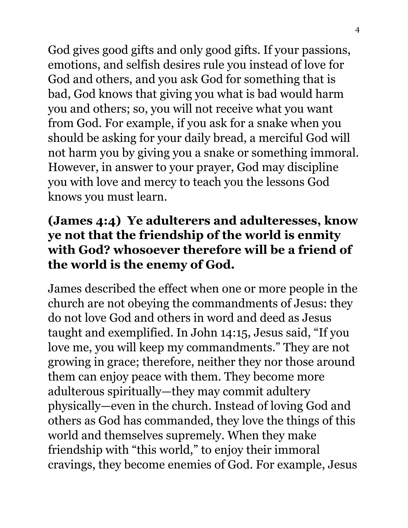God gives good gifts and only good gifts. If your passions, emotions, and selfish desires rule you instead of love for God and others, and you ask God for something that is bad, God knows that giving you what is bad would harm you and others; so, you will not receive what you want from God. For example, if you ask for a snake when you should be asking for your daily bread, a merciful God will not harm you by giving you a snake or something immoral. However, in answer to your prayer, God may discipline you with love and mercy to teach you the lessons God knows you must learn.

## **(James 4:4) Ye adulterers and adulteresses, know ye not that the friendship of the world is enmity with God? whosoever therefore will be a friend of the world is the enemy of God.**

James described the effect when one or more people in the church are not obeying the commandments of Jesus: they do not love God and others in word and deed as Jesus taught and exemplified. In John 14:15, Jesus said, "If you love me, you will keep my commandments." They are not growing in grace; therefore, neither they nor those around them can enjoy peace with them. They become more adulterous spiritually—they may commit adultery physically—even in the church. Instead of loving God and others as God has commanded, they love the things of this world and themselves supremely. When they make friendship with "this world," to enjoy their immoral cravings, they become enemies of God. For example, Jesus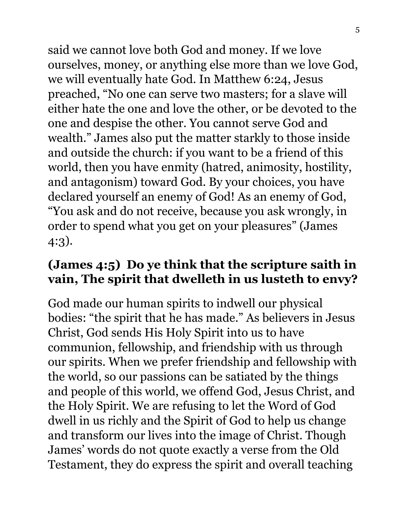said we cannot love both God and money. If we love ourselves, money, or anything else more than we love God, we will eventually hate God. In Matthew 6:24, Jesus preached, "No one can serve two masters; for a slave will either hate the one and love the other, or be devoted to the one and despise the other. You cannot serve God and wealth." James also put the matter starkly to those inside and outside the church: if you want to be a friend of this world, then you have enmity (hatred, animosity, hostility, and antagonism) toward God. By your choices, you have declared yourself an enemy of God! As an enemy of God, "You ask and do not receive, because you ask wrongly, in order to spend what you get on your pleasures" (James 4:3).

#### **(James 4:5) Do ye think that the scripture saith in vain, The spirit that dwelleth in us lusteth to envy?**

God made our human spirits to indwell our physical bodies: "the spirit that he has made." As believers in Jesus Christ, God sends His Holy Spirit into us to have communion, fellowship, and friendship with us through our spirits. When we prefer friendship and fellowship with the world, so our passions can be satiated by the things and people of this world, we offend God, Jesus Christ, and the Holy Spirit. We are refusing to let the Word of God dwell in us richly and the Spirit of God to help us change and transform our lives into the image of Christ. Though James' words do not quote exactly a verse from the Old Testament, they do express the spirit and overall teaching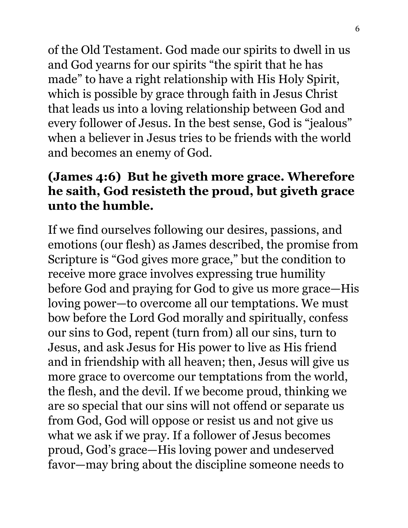of the Old Testament. God made our spirits to dwell in us and God yearns for our spirits "the spirit that he has made" to have a right relationship with His Holy Spirit, which is possible by grace through faith in Jesus Christ that leads us into a loving relationship between God and every follower of Jesus. In the best sense, God is "jealous" when a believer in Jesus tries to be friends with the world and becomes an enemy of God.

## **(James 4:6) But he giveth more grace. Wherefore he saith, God resisteth the proud, but giveth grace unto the humble.**

If we find ourselves following our desires, passions, and emotions (our flesh) as James described, the promise from Scripture is "God gives more grace," but the condition to receive more grace involves expressing true humility before God and praying for God to give us more grace—His loving power—to overcome all our temptations. We must bow before the Lord God morally and spiritually, confess our sins to God, repent (turn from) all our sins, turn to Jesus, and ask Jesus for His power to live as His friend and in friendship with all heaven; then, Jesus will give us more grace to overcome our temptations from the world, the flesh, and the devil. If we become proud, thinking we are so special that our sins will not offend or separate us from God, God will oppose or resist us and not give us what we ask if we pray. If a follower of Jesus becomes proud, God's grace—His loving power and undeserved favor—may bring about the discipline someone needs to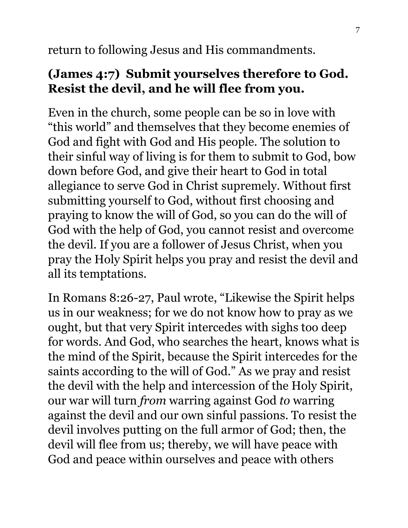return to following Jesus and His commandments.

#### **(James 4:7) Submit yourselves therefore to God. Resist the devil, and he will flee from you.**

Even in the church, some people can be so in love with "this world" and themselves that they become enemies of God and fight with God and His people. The solution to their sinful way of living is for them to submit to God, bow down before God, and give their heart to God in total allegiance to serve God in Christ supremely. Without first submitting yourself to God, without first choosing and praying to know the will of God, so you can do the will of God with the help of God, you cannot resist and overcome the devil. If you are a follower of Jesus Christ, when you pray the Holy Spirit helps you pray and resist the devil and all its temptations.

In Romans 8:26-27, Paul wrote, "Likewise the Spirit helps us in our weakness; for we do not know how to pray as we ought, but that very Spirit intercedes with sighs too deep for words. And God, who searches the heart, knows what is the mind of the Spirit, because the Spirit intercedes for the saints according to the will of God." As we pray and resist the devil with the help and intercession of the Holy Spirit, our war will turn *from* warring against God *to* warring against the devil and our own sinful passions. To resist the devil involves putting on the full armor of God; then, the devil will flee from us; thereby, we will have peace with God and peace within ourselves and peace with others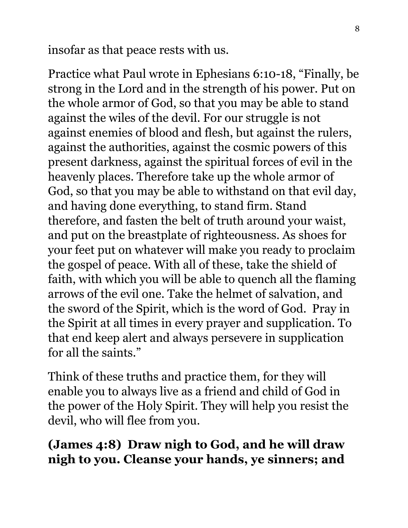insofar as that peace rests with us.

Practice what Paul wrote in Ephesians 6:10-18, "Finally, be strong in the Lord and in the strength of his power. Put on the whole armor of God, so that you may be able to stand against the wiles of the devil. For our struggle is not against enemies of blood and flesh, but against the rulers, against the authorities, against the cosmic powers of this present darkness, against the spiritual forces of evil in the heavenly places. Therefore take up the whole armor of God, so that you may be able to withstand on that evil day, and having done everything, to stand firm. Stand therefore, and fasten the belt of truth around your waist, and put on the breastplate of righteousness. As shoes for your feet put on whatever will make you ready to proclaim the gospel of peace. With all of these, take the shield of faith, with which you will be able to quench all the flaming arrows of the evil one. Take the helmet of salvation, and the sword of the Spirit, which is the word of God. Pray in the Spirit at all times in every prayer and supplication. To that end keep alert and always persevere in supplication for all the saints."

Think of these truths and practice them, for they will enable you to always live as a friend and child of God in the power of the Holy Spirit. They will help you resist the devil, who will flee from you.

## **(James 4:8) Draw nigh to God, and he will draw nigh to you. Cleanse your hands, ye sinners; and**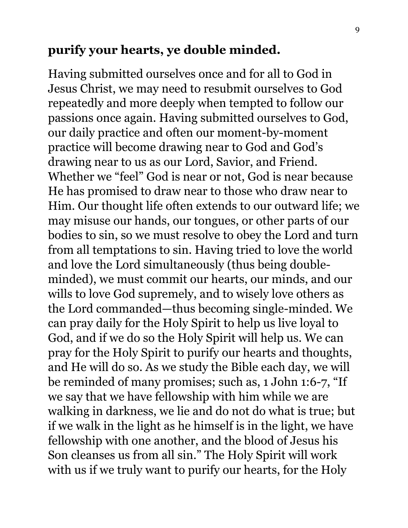#### **purify your hearts, ye double minded.**

Having submitted ourselves once and for all to God in Jesus Christ, we may need to resubmit ourselves to God repeatedly and more deeply when tempted to follow our passions once again. Having submitted ourselves to God, our daily practice and often our moment-by-moment practice will become drawing near to God and God's drawing near to us as our Lord, Savior, and Friend. Whether we "feel" God is near or not, God is near because He has promised to draw near to those who draw near to Him. Our thought life often extends to our outward life; we may misuse our hands, our tongues, or other parts of our bodies to sin, so we must resolve to obey the Lord and turn from all temptations to sin. Having tried to love the world and love the Lord simultaneously (thus being doubleminded), we must commit our hearts, our minds, and our wills to love God supremely, and to wisely love others as the Lord commanded—thus becoming single-minded. We can pray daily for the Holy Spirit to help us live loyal to God, and if we do so the Holy Spirit will help us. We can pray for the Holy Spirit to purify our hearts and thoughts, and He will do so. As we study the Bible each day, we will be reminded of many promises; such as, 1 John 1:6-7, "If we say that we have fellowship with him while we are walking in darkness, we lie and do not do what is true; but if we walk in the light as he himself is in the light, we have fellowship with one another, and the blood of Jesus his Son cleanses us from all sin." The Holy Spirit will work with us if we truly want to purify our hearts, for the Holy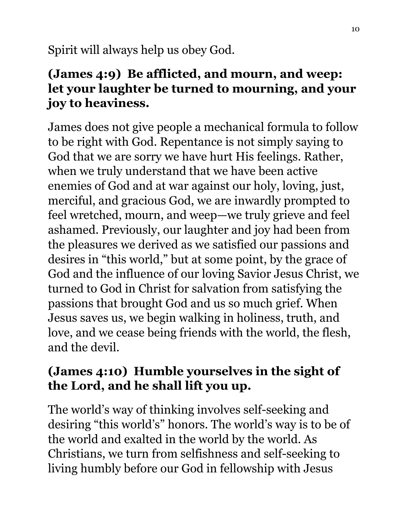Spirit will always help us obey God.

## **(James 4:9) Be afflicted, and mourn, and weep: let your laughter be turned to mourning, and your joy to heaviness.**

James does not give people a mechanical formula to follow to be right with God. Repentance is not simply saying to God that we are sorry we have hurt His feelings. Rather, when we truly understand that we have been active enemies of God and at war against our holy, loving, just, merciful, and gracious God, we are inwardly prompted to feel wretched, mourn, and weep—we truly grieve and feel ashamed. Previously, our laughter and joy had been from the pleasures we derived as we satisfied our passions and desires in "this world," but at some point, by the grace of God and the influence of our loving Savior Jesus Christ, we turned to God in Christ for salvation from satisfying the passions that brought God and us so much grief. When Jesus saves us, we begin walking in holiness, truth, and love, and we cease being friends with the world, the flesh, and the devil.

#### **(James 4:10) Humble yourselves in the sight of the Lord, and he shall lift you up.**

The world's way of thinking involves self-seeking and desiring "this world's" honors. The world's way is to be of the world and exalted in the world by the world. As Christians, we turn from selfishness and self-seeking to living humbly before our God in fellowship with Jesus